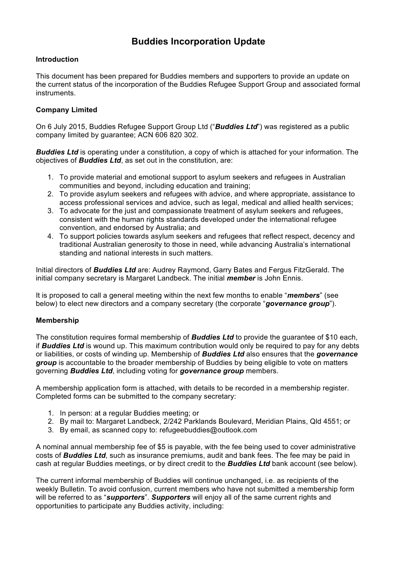# **Buddies Incorporation Update**

# **Introduction**

This document has been prepared for Buddies members and supporters to provide an update on the current status of the incorporation of the Buddies Refugee Support Group and associated formal instruments.

# **Company Limited**

On 6 July 2015, Buddies Refugee Support Group Ltd ("*Buddies Ltd*") was registered as a public company limited by guarantee; ACN 606 820 302.

*Buddies Ltd* is operating under a constitution, a copy of which is attached for your information. The objectives of *Buddies Ltd*, as set out in the constitution, are:

- 1. To provide material and emotional support to asylum seekers and refugees in Australian communities and beyond, including education and training;
- 2. To provide asylum seekers and refugees with advice, and where appropriate, assistance to access professional services and advice, such as legal, medical and allied health services;
- 3. To advocate for the just and compassionate treatment of asylum seekers and refugees, consistent with the human rights standards developed under the international refugee convention, and endorsed by Australia; and
- 4. To support policies towards asylum seekers and refugees that reflect respect, decency and traditional Australian generosity to those in need, while advancing Australia's international standing and national interests in such matters.

Initial directors of *Buddies Ltd* are: Audrey Raymond, Garry Bates and Fergus FitzGerald. The initial company secretary is Margaret Landbeck. The initial *member* is John Ennis.

It is proposed to call a general meeting within the next few months to enable "*members*" (see below) to elect new directors and a company secretary (the corporate "*governance group*").

## **Membership**

The constitution requires formal membership of *Buddies Ltd* to provide the guarantee of \$10 each, if *Buddies Ltd* is wound up. This maximum contribution would only be required to pay for any debts or liabilities, or costs of winding up. Membership of *Buddies Ltd* also ensures that the *governance group* is accountable to the broader membership of Buddies by being eligible to vote on matters governing *Buddies Ltd*, including voting for *governance group* members.

A membership application form is attached, with details to be recorded in a membership register. Completed forms can be submitted to the company secretary:

- 1. In person: at a regular Buddies meeting; or
- 2. By mail to: Margaret Landbeck, 2/242 Parklands Boulevard, Meridian Plains, Qld 4551; or
- 3. By email, as scanned copy to: refugeebuddies@outlook.com

A nominal annual membership fee of \$5 is payable, with the fee being used to cover administrative costs of *Buddies Ltd*, such as insurance premiums, audit and bank fees. The fee may be paid in cash at regular Buddies meetings, or by direct credit to the *Buddies Ltd* bank account (see below).

The current informal membership of Buddies will continue unchanged, i.e. as recipients of the weekly Bulletin. To avoid confusion, current members who have not submitted a membership form will be referred to as "*supporters*". *Supporters* will enjoy all of the same current rights and opportunities to participate any Buddies activity, including: